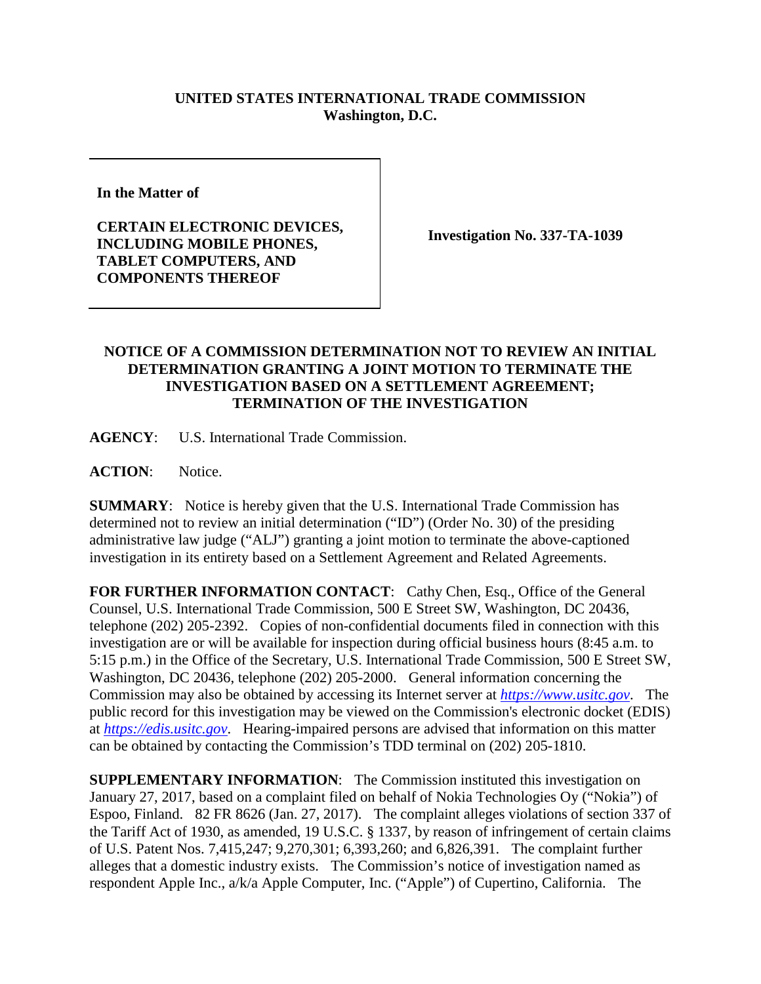## **UNITED STATES INTERNATIONAL TRADE COMMISSION Washington, D.C.**

**In the Matter of** 

**CERTAIN ELECTRONIC DEVICES, INCLUDING MOBILE PHONES, TABLET COMPUTERS, AND COMPONENTS THEREOF**

**Investigation No. 337-TA-1039**

## **NOTICE OF A COMMISSION DETERMINATION NOT TO REVIEW AN INITIAL DETERMINATION GRANTING A JOINT MOTION TO TERMINATE THE INVESTIGATION BASED ON A SETTLEMENT AGREEMENT; TERMINATION OF THE INVESTIGATION**

**AGENCY**: U.S. International Trade Commission.

**ACTION**: Notice.

**SUMMARY**: Notice is hereby given that the U.S. International Trade Commission has determined not to review an initial determination ("ID") (Order No. 30) of the presiding administrative law judge ("ALJ") granting a joint motion to terminate the above-captioned investigation in its entirety based on a Settlement Agreement and Related Agreements.

FOR FURTHER INFORMATION CONTACT: Cathy Chen, Esq., Office of the General Counsel, U.S. International Trade Commission, 500 E Street SW, Washington, DC 20436, telephone (202) 205-2392. Copies of non-confidential documents filed in connection with this investigation are or will be available for inspection during official business hours (8:45 a.m. to 5:15 p.m.) in the Office of the Secretary, U.S. International Trade Commission, 500 E Street SW, Washington, DC 20436, telephone (202) 205-2000. General information concerning the Commission may also be obtained by accessing its Internet server at *[https://www.usitc.gov](https://www.usitc.gov/)*. The public record for this investigation may be viewed on the Commission's electronic docket (EDIS) at *[https://edis.usitc.gov](https://edis.usitc.gov/)*. Hearing-impaired persons are advised that information on this matter can be obtained by contacting the Commission's TDD terminal on (202) 205-1810.

**SUPPLEMENTARY INFORMATION:** The Commission instituted this investigation on January 27, 2017, based on a complaint filed on behalf of Nokia Technologies Oy ("Nokia") of Espoo, Finland. 82 FR 8626 (Jan. 27, 2017). The complaint alleges violations of section 337 of the Tariff Act of 1930, as amended, 19 U.S.C. § 1337, by reason of infringement of certain claims of U.S. Patent Nos. 7,415,247; 9,270,301; 6,393,260; and 6,826,391. The complaint further alleges that a domestic industry exists. The Commission's notice of investigation named as respondent Apple Inc., a/k/a Apple Computer, Inc. ("Apple") of Cupertino, California. The